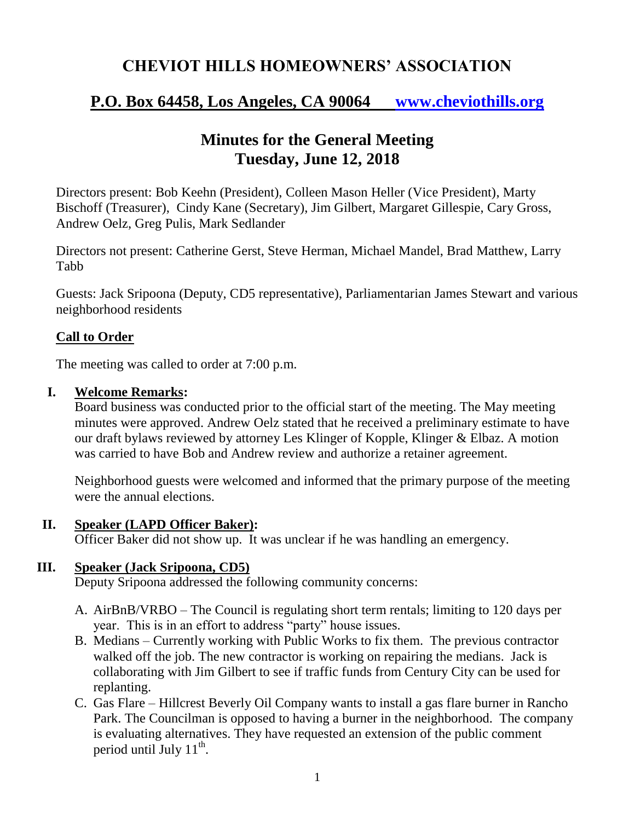# **CHEVIOT HILLS HOMEOWNERS' ASSOCIATION**

# **P.O. Box 64458, Los Angeles, CA 90064 [www.cheviothills.org](http://www.cheviothills.org/)**

## **Minutes for the General Meeting Tuesday, June 12, 2018**

Directors present: Bob Keehn (President), Colleen Mason Heller (Vice President), Marty Bischoff (Treasurer), Cindy Kane (Secretary), Jim Gilbert, Margaret Gillespie, Cary Gross, Andrew Oelz, Greg Pulis, Mark Sedlander

Directors not present: Catherine Gerst, Steve Herman, Michael Mandel, Brad Matthew, Larry Tabb

Guests: Jack Sripoona (Deputy, CD5 representative), Parliamentarian James Stewart and various neighborhood residents

#### **Call to Order**

The meeting was called to order at 7:00 p.m.

#### **I. Welcome Remarks:**

Board business was conducted prior to the official start of the meeting. The May meeting minutes were approved. Andrew Oelz stated that he received a preliminary estimate to have our draft bylaws reviewed by attorney Les Klinger of Kopple, Klinger & Elbaz. A motion was carried to have Bob and Andrew review and authorize a retainer agreement.

Neighborhood guests were welcomed and informed that the primary purpose of the meeting were the annual elections.

#### **II. Speaker (LAPD Officer Baker):**

Officer Baker did not show up. It was unclear if he was handling an emergency.

#### **III. Speaker (Jack Sripoona, CD5)**

Deputy Sripoona addressed the following community concerns:

- A. AirBnB/VRBO The Council is regulating short term rentals; limiting to 120 days per year. This is in an effort to address "party" house issues.
- B. Medians Currently working with Public Works to fix them. The previous contractor walked off the job. The new contractor is working on repairing the medians. Jack is collaborating with Jim Gilbert to see if traffic funds from Century City can be used for replanting.
- C. Gas Flare Hillcrest Beverly Oil Company wants to install a gas flare burner in Rancho Park. The Councilman is opposed to having a burner in the neighborhood. The company is evaluating alternatives. They have requested an extension of the public comment period until July  $11^{th}$ .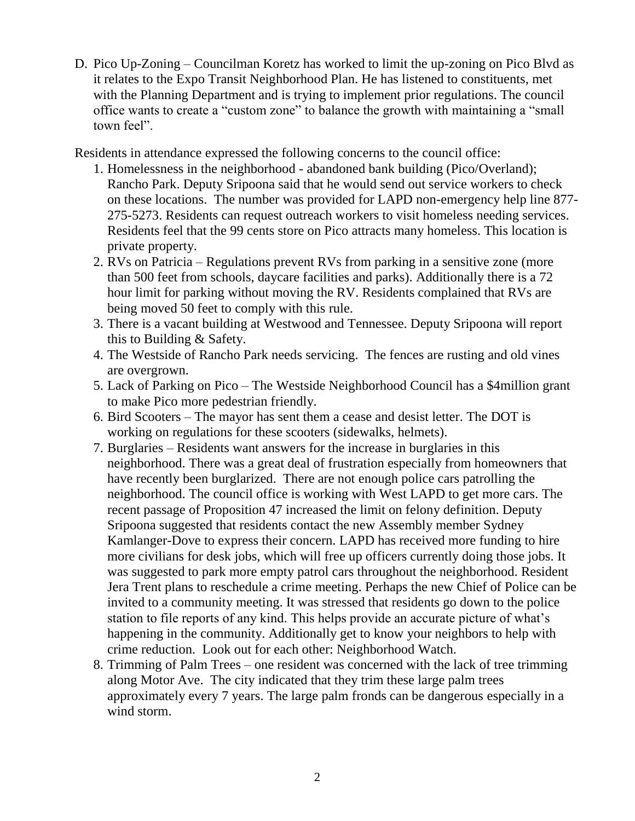D. Pico Up-Zoning – Councilman Koretz has worked to limit the up-zoning on Pico Blvd as it relates to the Expo Transit Neighborhood Plan. He has listened to constituents, met with the Planning Department and is trying to implement prior regulations. The council office wants to create a "custom zone" to balance the growth with maintaining a "small town feel".

Residents in attendance expressed the following concerns to the council office:

- 1. Homelessness in the neighborhood abandoned bank building (Pico/Overland); Rancho Park. Deputy Sripoona said that he would send out service workers to check on these locations. The number was provided for LAPD non-emergency help line 877- 275-5273. Residents can request outreach workers to visit homeless needing services. Residents feel that the 99 cents store on Pico attracts many homeless. This location is private property.
- 2. RVs on Patricia Regulations prevent RVs from parking in a sensitive zone (more than 500 feet from schools, daycare facilities and parks). Additionally there is a 72 hour limit for parking without moving the RV. Residents complained that RVs are being moved 50 feet to comply with this rule.
- 3. There is a vacant building at Westwood and Tennessee. Deputy Sripoona will report this to Building & Safety.
- 4. The Westside of Rancho Park needs servicing. The fences are rusting and old vines are overgrown.
- 5. Lack of Parking on Pico The Westside Neighborhood Council has a \$4million grant to make Pico more pedestrian friendly.
- 6. Bird Scooters The mayor has sent them a cease and desist letter. The DOT is working on regulations for these scooters (sidewalks, helmets).
- 7. Burglaries Residents want answers for the increase in burglaries in this neighborhood. There was a great deal of frustration especially from homeowners that have recently been burglarized. There are not enough police cars patrolling the neighborhood. The council office is working with West LAPD to get more cars. The recent passage of Proposition 47 increased the limit on felony definition. Deputy Sripoona suggested that residents contact the new Assembly member Sydney Kamlanger-Dove to express their concern. LAPD has received more funding to hire more civilians for desk jobs, which will free up officers currently doing those jobs. It was suggested to park more empty patrol cars throughout the neighborhood. Resident Jera Trent plans to reschedule a crime meeting. Perhaps the new Chief of Police can be invited to a community meeting. It was stressed that residents go down to the police station to file reports of any kind. This helps provide an accurate picture of what's happening in the community. Additionally get to know your neighbors to help with crime reduction. Look out for each other: Neighborhood Watch.
- 8. Trimming of Palm Trees one resident was concerned with the lack of tree trimming along Motor Ave. The city indicated that they trim these large palm trees approximately every 7 years. The large palm fronds can be dangerous especially in a wind storm.